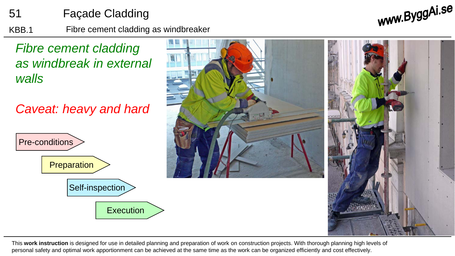51 Façade Cladding

KBB.1 Fibre cement cladding as windbreaker

*Fibre cement cladding as windbreak in external walls*

*Caveat: heavy and hard*





www.ByggAi.se

This **work instruction** is designed for use in detailed planning and preparation of work on construction projects. With thorough planning high levels of personal safety and optimal work apportionment can be achieved at the same time as the work can be organized efficiently and cost effectively.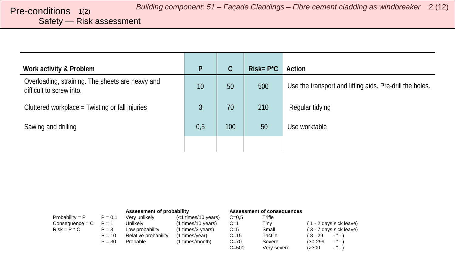# <span id="page-1-0"></span>Safety — Risk assessment

| Work activity & Problem                                                      | P   | C   | $Risk = P^*C$ | Action                                                   |
|------------------------------------------------------------------------------|-----|-----|---------------|----------------------------------------------------------|
| Overloading, straining. The sheets are heavy and<br>difficult to screw into. | 10  | 50  | 500           | Use the transport and lifting aids. Pre-drill the holes. |
| Cluttered workplace = Twisting or fall injuries                              | 3   | 70  | 210           | Regular tidying                                          |
| Sawing and drilling                                                          | 0,5 | 100 | 50            | Use worktable                                            |
|                                                                              |     |     |               |                                                          |

|                   |           | Assessment of probability |                     | Assessment of consequences |             |                                        |
|-------------------|-----------|---------------------------|---------------------|----------------------------|-------------|----------------------------------------|
| Probability = $P$ | $P = 0.1$ | Very unlikely             | (<1 times/10 years) | $C = 0.5$                  | Trifle      |                                        |
| $Consequence = C$ | $P = 1$   | Unlikelv                  | (1 times/10 years)  | $C=1$                      | Tiny        | (1 - 2 days sick leave)                |
| $Risk = P * C$    | $P = 3$   | Low probability           | (1 times/3 years)   | $C=5$                      | Small       | (3 - 7 days sick leave)                |
|                   | $P = 10$  | Relative probability      | (1 times/year)      | $C = 15$                   | Tactile     | $(8 - 29)$<br>$\cdots$                 |
|                   | $P = 30$  | Probable                  | (1 times/month)     | $C=70$                     | Severe      | $\cdots$<br>$(30-299)$                 |
|                   |           |                           |                     | $C = 500$                  | Very severe | $\sim$ $^{10}$ $\sim$ $^{11}$<br>(>300 |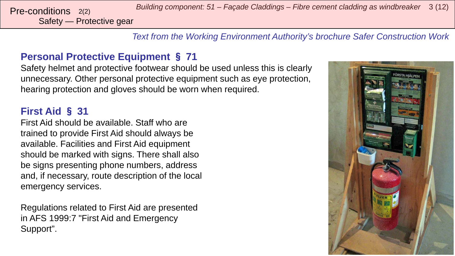*Building component: 51 – Façade Claddings – Fibre cement cladding as windbreaker* <sup>3</sup> (12) Pre-conditions 2(2)

Safety — Protective gear

*Text from the Working Environment Authority's brochure Safer Construction Work*

## **Personal Protective Equipment** § **71**

Safety helmet and protective footwear should be used unless this is clearly unnecessary. Other personal protective equipment such as eye protection, hearing protection and gloves should be worn when required.

### **First Aid** § **31**

First Aid should be available. Staff who are trained to provide First Aid should always be available. Facilities and First Aid equipment should be marked with signs. There shall also be signs presenting phone numbers, address and, if necessary, route description of the local emergency services.

Regulations related to First Aid are presented in AFS 1999:7 "First Aid and Emergency Support".

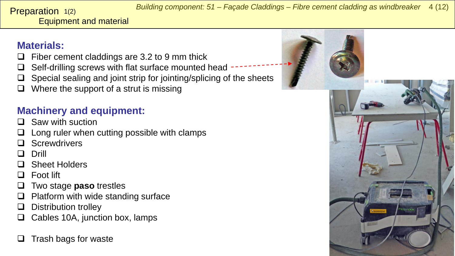#### <span id="page-3-0"></span>Equipment and material **Preparation**  $1(2)$

# **Materials:**

- Fiber cement claddings are 3.2 to 9 mm thick
- Self-drilling screws with flat surface mounted head
- Special sealing and joint strip for jointing/splicing of the sheets
- Where the support of a strut is missing

# **Machinery and equipment:**

- $\Box$  Saw with suction
- Long ruler when cutting possible with clamps
- **Screwdrivers**
- Drill
- Sheet Holders
- Foot lift
- Two stage **paso** trestles
- Platform with wide standing surface
- Distribution trolley
- Cables 10A, junction box, lamps
- Trash bags for waste

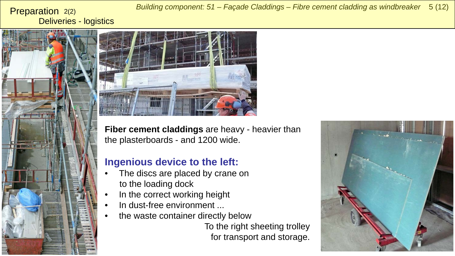Deliveries - logistics Preparation 2(2)



*Building component: 51 – Façade Claddings – Fibre cement cladding as windbreaker* 5 (12)



**Fiber cement claddings** are heavy - heavier than the plasterboards - and 1200 wide.

#### **Ingenious device to the left:**

- The discs are placed by crane on to the loading dock
- In the correct working height
- In dust-free environment ...
- the waste container directly below

To the right sheeting trolley for transport and storage.

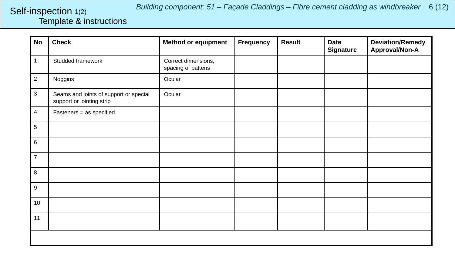#### <span id="page-5-0"></span>Template & instructions Self-inspection 1(2)

| <b>No</b>        | <b>Check</b>                                                        | <b>Method or equipment</b>                | <b>Frequency</b> | <b>Result</b> | <b>Date</b><br><b>Signature</b> | <b>Deviation/Remedy</b><br>Approval/Non-A |
|------------------|---------------------------------------------------------------------|-------------------------------------------|------------------|---------------|---------------------------------|-------------------------------------------|
| $\mathbf{1}$     | Studded framework                                                   | Correct dimensions,<br>spacing of battens |                  |               |                                 |                                           |
| $\sqrt{2}$       | Noggins                                                             | Ocular                                    |                  |               |                                 |                                           |
| $\mathbf{3}$     | Seams and joints of support or special<br>support or jointing strip | Ocular                                    |                  |               |                                 |                                           |
| $\overline{4}$   | Fasteners = as specified                                            |                                           |                  |               |                                 |                                           |
| $\sqrt{5}$       |                                                                     |                                           |                  |               |                                 |                                           |
| $\,6\,$          |                                                                     |                                           |                  |               |                                 |                                           |
| $\overline{7}$   |                                                                     |                                           |                  |               |                                 |                                           |
| $\,8\,$          |                                                                     |                                           |                  |               |                                 |                                           |
| $\boldsymbol{9}$ |                                                                     |                                           |                  |               |                                 |                                           |
| 10               |                                                                     |                                           |                  |               |                                 |                                           |
| 11               |                                                                     |                                           |                  |               |                                 |                                           |
|                  |                                                                     |                                           |                  |               |                                 |                                           |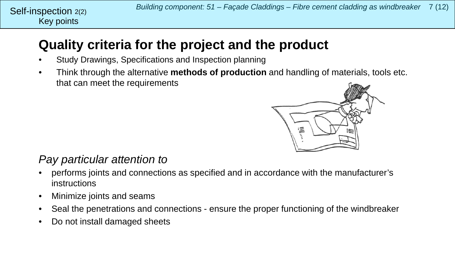# **Quality criteria for the project and the product**

- Study Drawings, Specifications and Inspection planning
- Think through the alternative **methods of production** and handling of materials, tools etc. that can meet the requirements



## *Pay particular attention to*

- performs joints and connections as specified and in accordance with the manufacturer's instructions
- Minimize joints and seams
- Seal the penetrations and connections ensure the proper functioning of the windbreaker
- Do not install damaged sheets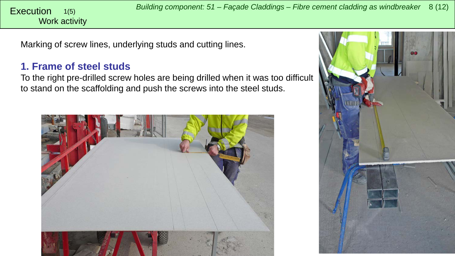<span id="page-7-0"></span>Work activity 1(5)

Marking of screw lines, underlying studs and cutting lines.

#### **1. Frame of steel studs**

To the right pre-drilled screw holes are being drilled when it was too difficult to stand on the scaffolding and push the screws into the steel studs.



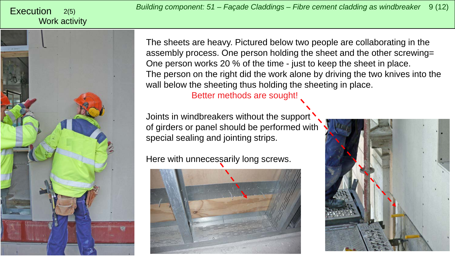#### 2(5) Work activity



The sheets are heavy. Pictured below two people are collaborating in the assembly process. One person holding the sheet and the other screwing= One person works 20 % of the time - just to keep the sheet in place. The person on the right did the work alone by driving the two knives into the wall below the sheeting thus holding the sheeting in place.

Better methods are sought!

Joints in windbreakers without the support of girders or panel should be performed with special sealing and jointing strips.

Here with unnecessarily long screws.



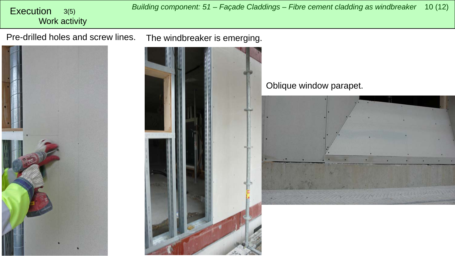*Building component: 51 – Façade Claddings – Fibre cement cladding as windbreaker* <sup>10</sup> (12) Execution 3(5) Work activity Pre-drilled holes and screw lines. The windbreaker is emerging. Oblique window parapet.179111-1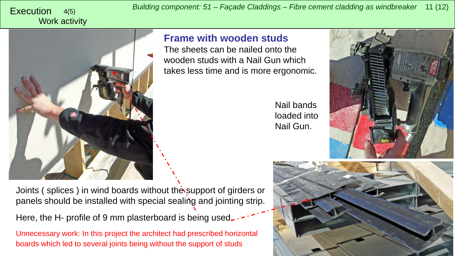Work activity

**Frame with wooden studs**

The sheets can be nailed onto the wooden studs with a Nail Gun which takes less time and is more ergonomic.

Nail bands loaded into Nail Gun.





Joints (splices) in wind boards without the support of girders or panels should be installed with special sealing and jointing strip.

Here, the H- profile of 9 mm plasterboard is being used.

Unnecessary work: In this project the architect had prescribed horizontal boards which led to several joints being without the support of studs